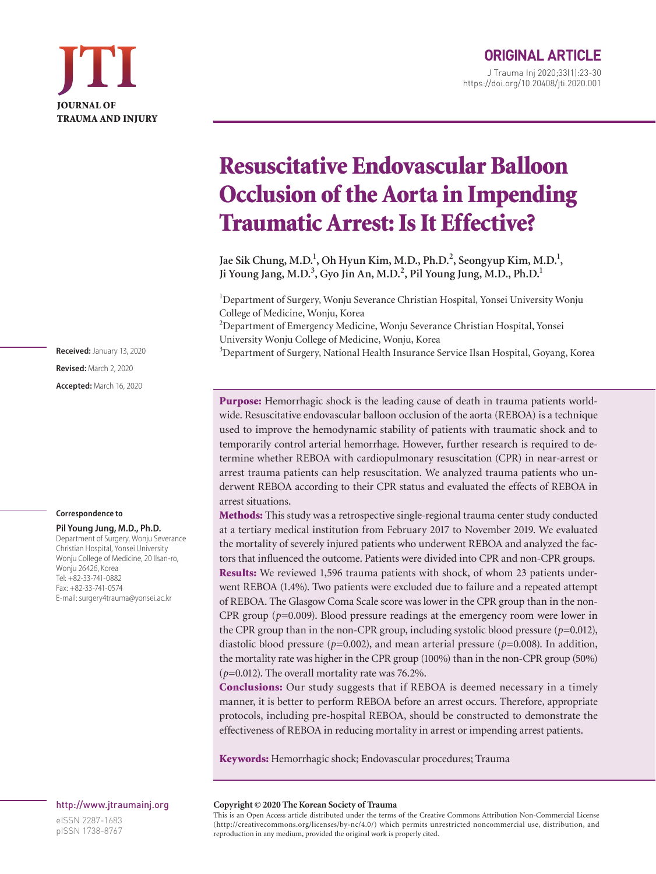## Resuscitative Endovascular Balloon Occlusion of the Aorta in Impending Traumatic Arrest: Is It Effective?

Jae Sik Chung, M.D.<sup>1</sup>, Oh Hyun Kim, M.D., Ph.D.<sup>2</sup>, Seongyup Kim, M.D.<sup>1</sup>, **Ji Young Jang, M.D.<sup>3</sup> , Gyo Jin An, M.D.<sup>2</sup> , Pil Young Jung, M.D., Ph.D.1**

<sup>1</sup>Department of Surgery, Wonju Severance Christian Hospital, Yonsei University Wonju College of Medicine, Wonju, Korea

<sup>2</sup>Department of Emergency Medicine, Wonju Severance Christian Hospital, Yonsei University Wonju College of Medicine, Wonju, Korea

<sup>3</sup>Department of Surgery, National Health Insurance Service Ilsan Hospital, Goyang, Korea

Purpose: Hemorrhagic shock is the leading cause of death in trauma patients worldwide. Resuscitative endovascular balloon occlusion of the aorta (REBOA) is a technique used to improve the hemodynamic stability of patients with traumatic shock and to temporarily control arterial hemorrhage. However, further research is required to determine whether REBOA with cardiopulmonary resuscitation (CPR) in near-arrest or arrest trauma patients can help resuscitation. We analyzed trauma patients who underwent REBOA according to their CPR status and evaluated the effects of REBOA in arrest situations.

Methods: This study was a retrospective single-regional trauma center study conducted at a tertiary medical institution from February 2017 to November 2019. We evaluated the mortality of severely injured patients who underwent REBOA and analyzed the factors that influenced the outcome. Patients were divided into CPR and non-CPR groups. Results: We reviewed 1,596 trauma patients with shock, of whom 23 patients underwent REBOA (1.4%). Two patients were excluded due to failure and a repeated attempt of REBOA. The Glasgow Coma Scale score was lower in the CPR group than in the non-CPR group  $(p=0.009)$ . Blood pressure readings at the emergency room were lower in the CPR group than in the non-CPR group, including systolic blood pressure  $(p=0.012)$ , diastolic blood pressure (*p*=0.002), and mean arterial pressure (*p*=0.008). In addition, the mortality rate was higher in the CPR group (100%) than in the non-CPR group (50%) (*p*=0.012). The overall mortality rate was 76.2%.

Conclusions: Our study suggests that if REBOA is deemed necessary in a timely manner, it is better to perform REBOA before an arrest occurs. Therefore, appropriate protocols, including pre-hospital REBOA, should be constructed to demonstrate the effectiveness of REBOA in reducing mortality in arrest or impending arrest patients.

Keywords: Hemorrhagic shock; Endovascular procedures; Trauma

**Revised:** March 2, 2020 **Accepted:** March 16, 2020

**Received:** January 13, 2020

#### **Correspondence to**

#### **Pil Young Jung, M.D., Ph.D.**

Department of Surgery, Wonju Severance Christian Hospital, Yonsei University Wonju College of Medicine, 20 Ilsan-ro, Wonju 26426, Korea Tel: +82-33-741-0882 Fax: +82-33-741-0574 E-mail: surgery4trauma@yonsei.ac.kr

#### http://www.jtraumainj.org

eISSN 2287-1683 pISSN 1738-8767

#### **Copyright © 2020 The Korean Society of Trauma**

This is an Open Access article distributed under the terms of the Creative Commons Attribution Non-Commercial License (http://creativecommons.org/licenses/by-nc/4.0/) which permits unrestricted noncommercial use, distribution, and reproduction in any medium, provided the original work is properly cited.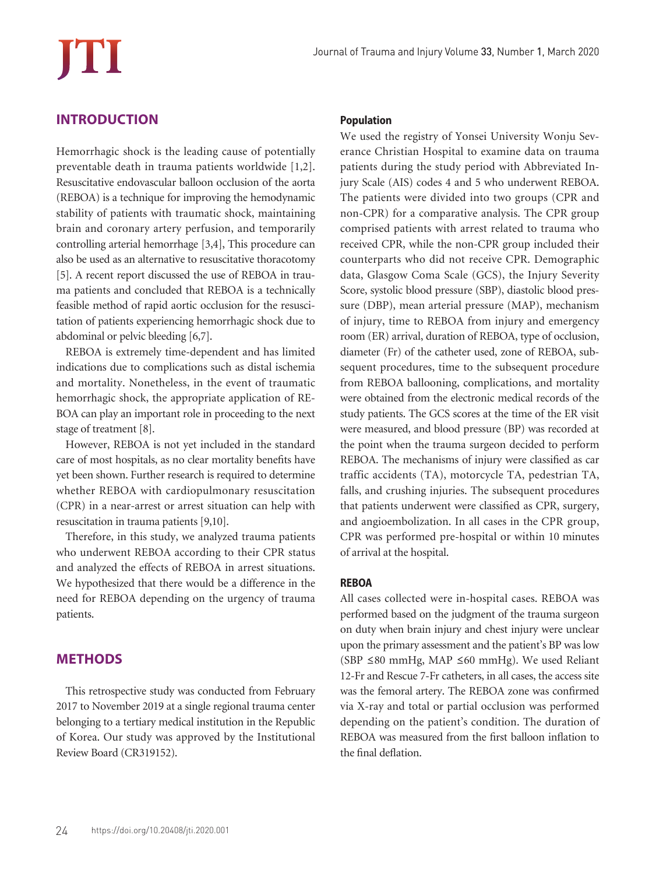### **INTRODUCTION**

Hemorrhagic shock is the leading cause of potentially preventable death in trauma patients worldwide [1,2]. Resuscitative endovascular balloon occlusion of the aorta (REBOA) is a technique for improving the hemodynamic stability of patients with traumatic shock, maintaining brain and coronary artery perfusion, and temporarily controlling arterial hemorrhage [3,4], This procedure can also be used as an alternative to resuscitative thoracotomy [5]. A recent report discussed the use of REBOA in trauma patients and concluded that REBOA is a technically feasible method of rapid aortic occlusion for the resuscitation of patients experiencing hemorrhagic shock due to abdominal or pelvic bleeding [6,7].

REBOA is extremely time-dependent and has limited indications due to complications such as distal ischemia and mortality. Nonetheless, in the event of traumatic hemorrhagic shock, the appropriate application of RE-BOA can play an important role in proceeding to the next stage of treatment [8].

However, REBOA is not yet included in the standard care of most hospitals, as no clear mortality benefits have yet been shown. Further research is required to determine whether REBOA with cardiopulmonary resuscitation (CPR) in a near-arrest or arrest situation can help with resuscitation in trauma patients [9,10].

Therefore, in this study, we analyzed trauma patients who underwent REBOA according to their CPR status and analyzed the effects of REBOA in arrest situations. We hypothesized that there would be a difference in the need for REBOA depending on the urgency of trauma patients.

## **METHODS**

This retrospective study was conducted from February 2017 to November 2019 at a single regional trauma center belonging to a tertiary medical institution in the Republic of Korea. Our study was approved by the Institutional Review Board (CR319152).

#### **Population**

We used the registry of Yonsei University Wonju Severance Christian Hospital to examine data on trauma patients during the study period with Abbreviated Injury Scale (AIS) codes 4 and 5 who underwent REBOA. The patients were divided into two groups (CPR and non-CPR) for a comparative analysis. The CPR group comprised patients with arrest related to trauma who received CPR, while the non-CPR group included their counterparts who did not receive CPR. Demographic data, Glasgow Coma Scale (GCS), the Injury Severity Score, systolic blood pressure (SBP), diastolic blood pressure (DBP), mean arterial pressure (MAP), mechanism of injury, time to REBOA from injury and emergency room (ER) arrival, duration of REBOA, type of occlusion, diameter (Fr) of the catheter used, zone of REBOA, subsequent procedures, time to the subsequent procedure from REBOA ballooning, complications, and mortality were obtained from the electronic medical records of the study patients. The GCS scores at the time of the ER visit were measured, and blood pressure (BP) was recorded at the point when the trauma surgeon decided to perform REBOA. The mechanisms of injury were classified as car traffic accidents (TA), motorcycle TA, pedestrian TA, falls, and crushing injuries. The subsequent procedures that patients underwent were classified as CPR, surgery, and angioembolization. In all cases in the CPR group, CPR was performed pre-hospital or within 10 minutes of arrival at the hospital.

#### **REBOA**

All cases collected were in-hospital cases. REBOA was performed based on the judgment of the trauma surgeon on duty when brain injury and chest injury were unclear upon the primary assessment and the patient's BP was low (SBP ≤80 mmHg, MAP ≤60 mmHg). We used Reliant 12-Fr and Rescue 7-Fr catheters, in all cases, the access site was the femoral artery. The REBOA zone was confirmed via X-ray and total or partial occlusion was performed depending on the patient's condition. The duration of REBOA was measured from the first balloon inflation to the final deflation.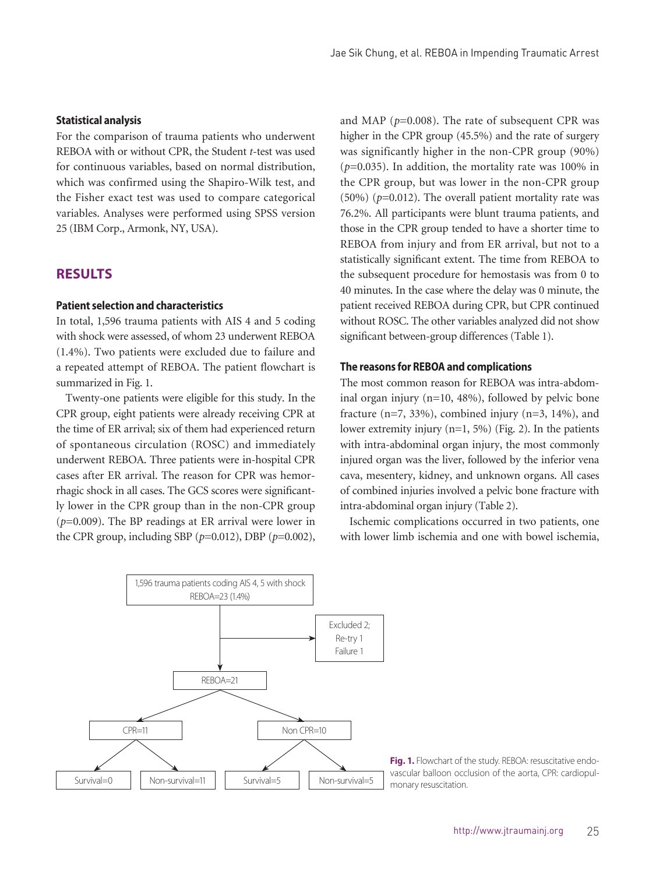#### **Statistical analysis**

For the comparison of trauma patients who underwent REBOA with or without CPR, the Student *t*-test was used for continuous variables, based on normal distribution, which was confirmed using the Shapiro-Wilk test, and the Fisher exact test was used to compare categorical variables. Analyses were performed using SPSS version 25 (IBM Corp., Armonk, NY, USA).

#### **RESULTS**

#### **Patient selection and characteristics**

In total, 1,596 trauma patients with AIS 4 and 5 coding with shock were assessed, of whom 23 underwent REBOA (1.4%). Two patients were excluded due to failure and a repeated attempt of REBOA. The patient flowchart is summarized in Fig. 1.

Twenty-one patients were eligible for this study. In the CPR group, eight patients were already receiving CPR at the time of ER arrival; six of them had experienced return of spontaneous circulation (ROSC) and immediately underwent REBOA. Three patients were in-hospital CPR cases after ER arrival. The reason for CPR was hemorrhagic shock in all cases. The GCS scores were significantly lower in the CPR group than in the non-CPR group (*p*=0.009). The BP readings at ER arrival were lower in the CPR group, including SBP (*p*=0.012), DBP (*p*=0.002),

and MAP (*p*=0.008). The rate of subsequent CPR was higher in the CPR group (45.5%) and the rate of surgery was significantly higher in the non-CPR group (90%)  $(p=0.035)$ . In addition, the mortality rate was 100% in the CPR group, but was lower in the non-CPR group  $(50\%)$  ( $p=0.012$ ). The overall patient mortality rate was 76.2%. All participants were blunt trauma patients, and those in the CPR group tended to have a shorter time to REBOA from injury and from ER arrival, but not to a statistically significant extent. The time from REBOA to the subsequent procedure for hemostasis was from 0 to 40 minutes. In the case where the delay was 0 minute, the patient received REBOA during CPR, but CPR continued without ROSC. The other variables analyzed did not show significant between-group differences (Table 1).

#### **The reasons for REBOA and complications**

The most common reason for REBOA was intra-abdominal organ injury (n=10, 48%), followed by pelvic bone fracture ( $n=7$ , 33%), combined injury ( $n=3$ , 14%), and lower extremity injury  $(n=1, 5\%)$  (Fig. 2). In the patients with intra-abdominal organ injury, the most commonly injured organ was the liver, followed by the inferior vena cava, mesentery, kidney, and unknown organs. All cases of combined injuries involved a pelvic bone fracture with intra-abdominal organ injury (Table 2).

Ischemic complications occurred in two patients, one with lower limb ischemia and one with bowel ischemia,



**Fig. 1.** Flowchart of the study. REBOA: resuscitative endovascular balloon occlusion of the aorta, CPR: cardiopul-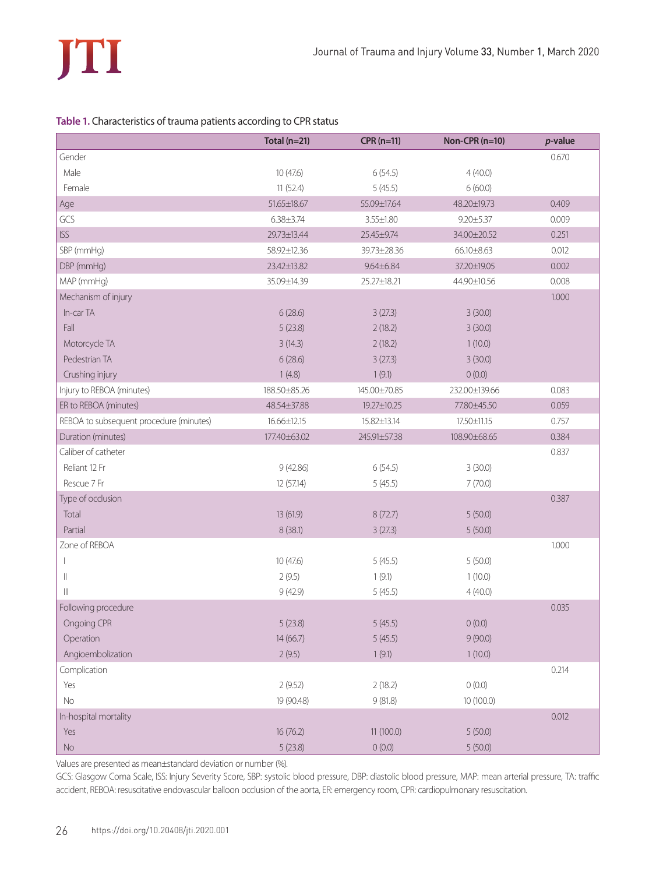#### **Table 1.** Characteristics of trauma patients according to CPR status

|                                         | Total $(n=21)$  | $CPR(n=11)$     | Non-CPR (n=10)  | $p$ -value |
|-----------------------------------------|-----------------|-----------------|-----------------|------------|
| Gender                                  |                 |                 |                 | 0.670      |
| Male                                    | 10(47.6)        | 6(54.5)         | 4(40.0)         |            |
| Female                                  | 11(52.4)        | 5(45.5)         | 6(60.0)         |            |
| Age                                     | 51.65±18.67     | 55.09±17.64     | 48.20±19.73     | 0.409      |
| GCS                                     | $6.38 \pm 3.74$ | $3.55 \pm 1.80$ | $9.20 \pm 5.37$ | 0.009      |
| <b>ISS</b>                              | 29.73±13.44     | 25.45±9.74      | 34.00±20.52     | 0.251      |
| SBP (mmHg)                              | 58.92±12.36     | 39.73±28.36     | 66.10±8.63      | 0.012      |
| DBP (mmHg)                              | 23.42±13.82     | $9.64 \pm 6.84$ | 37.20±19.05     | 0.002      |
| MAP (mmHq)                              | 35.09±14.39     | 25.27±18.21     | 44.90±10.56     | 0.008      |
| Mechanism of injury                     |                 |                 |                 | 1.000      |
| In-car TA                               | 6(28.6)         | 3(27.3)         | 3(30.0)         |            |
| Fall                                    | 5(23.8)         | 2(18.2)         | 3(30.0)         |            |
| Motorcycle TA                           | 3(14.3)         | 2(18.2)         | 1(10.0)         |            |
| Pedestrian TA                           | 6(28.6)         | 3(27.3)         | 3(30.0)         |            |
| Crushing injury                         | 1(4.8)          | 1(9.1)          | 0(0.0)          |            |
| Injury to REBOA (minutes)               | 188.50±85.26    | 145.00±70.85    | 232.00±139.66   | 0.083      |
| ER to REBOA (minutes)                   | 48.54±37.88     | 19.27±10.25     | 77.80±45.50     | 0.059      |
| REBOA to subsequent procedure (minutes) | 16.66±12.15     | 15.82±13.14     | 17.50±11.15     | 0.757      |
| Duration (minutes)                      | 177.40±63.02    | 245.91±57.38    | 108.90±68.65    | 0.384      |
| Caliber of catheter                     |                 |                 |                 | 0.837      |
| Reliant 12 Fr                           | 9(42.86)        | 6(54.5)         | 3(30.0)         |            |
| Rescue 7 Fr                             | 12 (57.14)      | 5(45.5)         | 7(70.0)         |            |
| Type of occlusion                       |                 |                 |                 | 0.387      |
| Total                                   | 13 (61.9)       | 8(72.7)         | 5(50.0)         |            |
| Partial                                 | 8(38.1)         | 3(27.3)         | 5(50.0)         |            |
| Zone of REBOA                           |                 |                 |                 | 1.000      |
| $\overline{\phantom{a}}$                | 10(47.6)        | 5(45.5)         | 5(50.0)         |            |
| $\begin{array}{c} \hline \end{array}$   | 2(9.5)          | 1(9.1)          | 1(10.0)         |            |
| $\mathbb{I}$                            | 9(42.9)         | 5(45.5)         | 4(40.0)         |            |
| Following procedure                     |                 |                 |                 | 0.035      |
| Ongoing CPR                             | 5(23.8)         | 5(45.5)         | 0(0.0)          |            |
| Operation                               | 14 (66.7)       | 5(45.5)         | 9(90.0)         |            |
| Angioembolization                       | 2(9.5)          | 1(9.1)          | 1(10.0)         |            |
| Complication                            |                 |                 |                 | 0.214      |
| Yes                                     | 2(9.52)         | 2(18.2)         | 0(0.0)          |            |
| No                                      | 19 (90.48)      | 9(81.8)         | 10 (100.0)      |            |
| In-hospital mortality                   |                 |                 |                 | 0.012      |
| Yes                                     | 16(76.2)        | 11 (100.0)      | 5(50.0)         |            |
| $\rm No$                                | 5(23.8)         | 0(0.0)          | 5(50.0)         |            |

Values are presented as mean±standard deviation or number (%).

GCS: Glasgow Coma Scale, ISS: Injury Severity Score, SBP: systolic blood pressure, DBP: diastolic blood pressure, MAP: mean arterial pressure, TA: traffic accident, REBOA: resuscitative endovascular balloon occlusion of the aorta, ER: emergency room, CPR: cardiopulmonary resuscitation.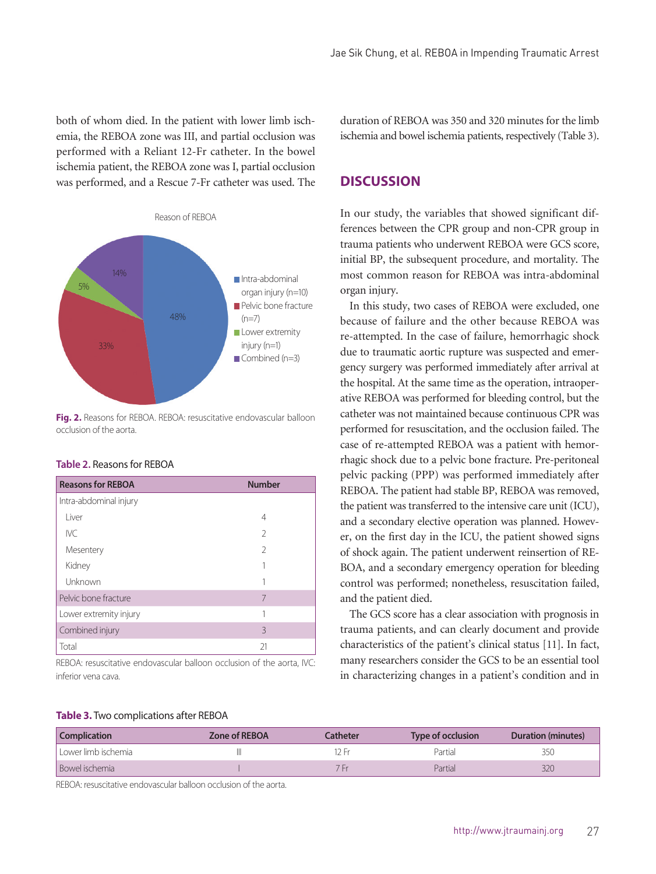both of whom died. In the patient with lower limb ischemia, the REBOA zone was III, and partial occlusion was performed with a Reliant 12-Fr catheter. In the bowel ischemia patient, the REBOA zone was I, partial occlusion was performed, and a Rescue 7-Fr catheter was used. The



**Fig. 2.** Reasons for REBOA. REBOA: resuscitative endovascular balloon occlusion of the aorta.

|  | <b>Table 2.</b> Reasons for REBOA |  |
|--|-----------------------------------|--|
|--|-----------------------------------|--|

| <b>Reasons for REBOA</b> | <b>Number</b>  |
|--------------------------|----------------|
| Intra-abdominal injury   |                |
| I iver                   | 4              |
| <b>IVC</b>               | $\mathfrak{D}$ |
| Mesentery                | $\mathfrak{D}$ |
| Kidney                   |                |
| Unknown                  |                |
| Pelvic bone fracture     | 7              |
| Lower extremity injury   |                |
| Combined injury          | 3              |
| Total                    | 21             |

REBOA: resuscitative endovascular balloon occlusion of the aorta, IVC: inferior vena cava.

duration of REBOA was 350 and 320 minutes for the limb ischemia and bowel ischemia patients, respectively (Table 3).

#### **DISCUSSION**

In our study, the variables that showed significant differences between the CPR group and non-CPR group in trauma patients who underwent REBOA were GCS score, initial BP, the subsequent procedure, and mortality. The most common reason for REBOA was intra-abdominal organ injury.

In this study, two cases of REBOA were excluded, one because of failure and the other because REBOA was re-attempted. In the case of failure, hemorrhagic shock due to traumatic aortic rupture was suspected and emergency surgery was performed immediately after arrival at the hospital. At the same time as the operation, intraoperative REBOA was performed for bleeding control, but the catheter was not maintained because continuous CPR was performed for resuscitation, and the occlusion failed. The case of re-attempted REBOA was a patient with hemorrhagic shock due to a pelvic bone fracture. Pre-peritoneal pelvic packing (PPP) was performed immediately after REBOA. The patient had stable BP, REBOA was removed, the patient was transferred to the intensive care unit (ICU), and a secondary elective operation was planned. However, on the first day in the ICU, the patient showed signs of shock again. The patient underwent reinsertion of RE-BOA, and a secondary emergency operation for bleeding control was performed; nonetheless, resuscitation failed, and the patient died.

The GCS score has a clear association with prognosis in trauma patients, and can clearly document and provide characteristics of the patient's clinical status [11]. In fact, many researchers consider the GCS to be an essential tool in characterizing changes in a patient's condition and in

#### **Table 3.** Two complications after REBOA

| <b>Complication</b>   | Zone of REBOA | Catheter | Type of occlusion | Duration (minutes) |
|-----------------------|---------------|----------|-------------------|--------------------|
| l Lower limb ischemia |               |          | Partial           | 350                |
| Bowel ischemia        |               |          | Partial           | 320                |

REBOA: resuscitative endovascular balloon occlusion of the aorta.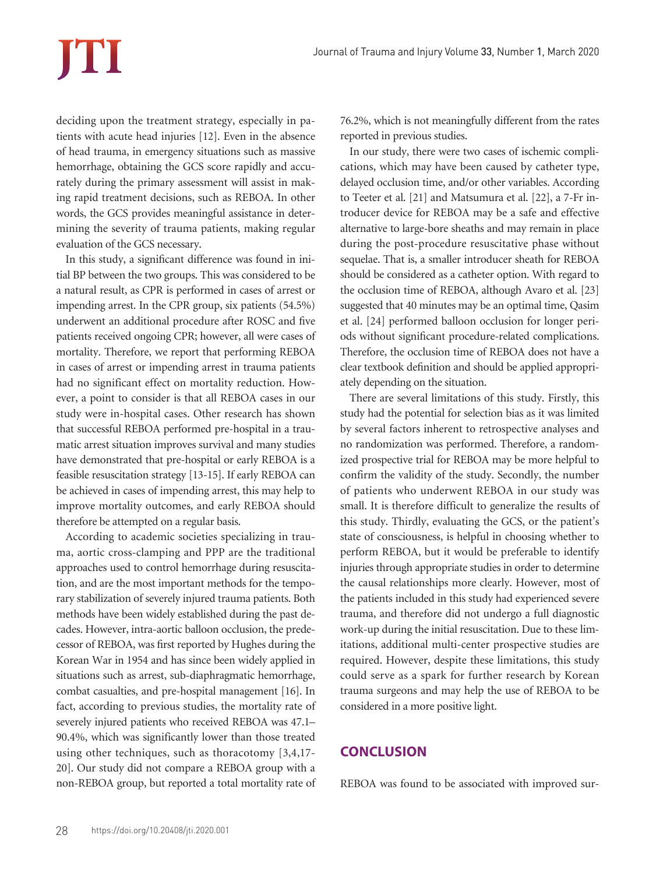# **TTI**

deciding upon the treatment strategy, especially in patients with acute head injuries [12]. Even in the absence of head trauma, in emergency situations such as massive hemorrhage, obtaining the GCS score rapidly and accurately during the primary assessment will assist in making rapid treatment decisions, such as REBOA. In other words, the GCS provides meaningful assistance in determining the severity of trauma patients, making regular evaluation of the GCS necessary.

In this study, a significant difference was found in initial BP between the two groups. This was considered to be a natural result, as CPR is performed in cases of arrest or impending arrest. In the CPR group, six patients (54.5%) underwent an additional procedure after ROSC and five patients received ongoing CPR; however, all were cases of mortality. Therefore, we report that performing REBOA in cases of arrest or impending arrest in trauma patients had no significant effect on mortality reduction. However, a point to consider is that all REBOA cases in our study were in-hospital cases. Other research has shown that successful REBOA performed pre-hospital in a traumatic arrest situation improves survival and many studies have demonstrated that pre-hospital or early REBOA is a feasible resuscitation strategy [13-15]. If early REBOA can be achieved in cases of impending arrest, this may help to improve mortality outcomes, and early REBOA should therefore be attempted on a regular basis.

According to academic societies specializing in trauma, aortic cross-clamping and PPP are the traditional approaches used to control hemorrhage during resuscitation, and are the most important methods for the temporary stabilization of severely injured trauma patients. Both methods have been widely established during the past decades. However, intra-aortic balloon occlusion, the predecessor of REBOA, was first reported by Hughes during the Korean War in 1954 and has since been widely applied in situations such as arrest, sub-diaphragmatic hemorrhage, combat casualties, and pre-hospital management [16]. In fact, according to previous studies, the mortality rate of severely injured patients who received REBOA was 47.1– 90.4%, which was significantly lower than those treated using other techniques, such as thoracotomy [3,4,17- 20]. Our study did not compare a REBOA group with a non-REBOA group, but reported a total mortality rate of 76.2%, which is not meaningfully different from the rates reported in previous studies.

In our study, there were two cases of ischemic complications, which may have been caused by catheter type, delayed occlusion time, and/or other variables. According to Teeter et al. [21] and Matsumura et al. [22], a 7-Fr introducer device for REBOA may be a safe and effective alternative to large-bore sheaths and may remain in place during the post-procedure resuscitative phase without sequelae. That is, a smaller introducer sheath for REBOA should be considered as a catheter option. With regard to the occlusion time of REBOA, although Avaro et al. [23] suggested that 40 minutes may be an optimal time, Qasim et al. [24] performed balloon occlusion for longer periods without significant procedure-related complications. Therefore, the occlusion time of REBOA does not have a clear textbook definition and should be applied appropriately depending on the situation.

There are several limitations of this study. Firstly, this study had the potential for selection bias as it was limited by several factors inherent to retrospective analyses and no randomization was performed. Therefore, a randomized prospective trial for REBOA may be more helpful to confirm the validity of the study. Secondly, the number of patients who underwent REBOA in our study was small. It is therefore difficult to generalize the results of this study. Thirdly, evaluating the GCS, or the patient's state of consciousness, is helpful in choosing whether to perform REBOA, but it would be preferable to identify injuries through appropriate studies in order to determine the causal relationships more clearly. However, most of the patients included in this study had experienced severe trauma, and therefore did not undergo a full diagnostic work-up during the initial resuscitation. Due to these limitations, additional multi-center prospective studies are required. However, despite these limitations, this study could serve as a spark for further research by Korean trauma surgeons and may help the use of REBOA to be considered in a more positive light.

#### **CONCLUSION**

REBOA was found to be associated with improved sur-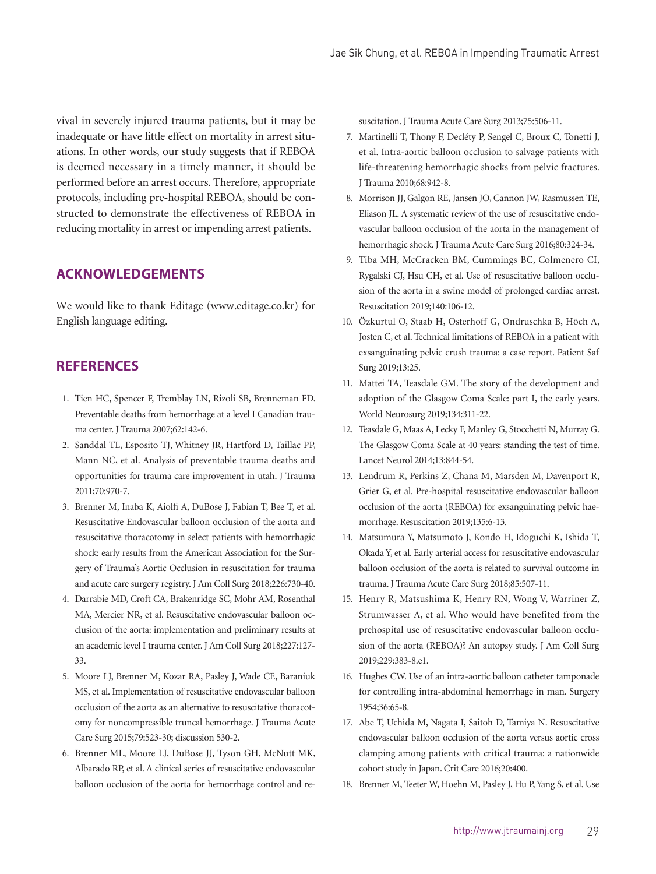vival in severely injured trauma patients, but it may be inadequate or have little effect on mortality in arrest situations. In other words, our study suggests that if REBOA is deemed necessary in a timely manner, it should be performed before an arrest occurs. Therefore, appropriate protocols, including pre-hospital REBOA, should be constructed to demonstrate the effectiveness of REBOA in reducing mortality in arrest or impending arrest patients.

#### **ACKNOWLEDGEMENTS**

We would like to thank Editage (www.editage.co.kr) for English language editing.

#### **REFERENCES**

- 1. Tien HC, Spencer F, Tremblay LN, Rizoli SB, Brenneman FD. Preventable deaths from hemorrhage at a level I Canadian trauma center. J Trauma 2007;62:142-6.
- 2. Sanddal TL, Esposito TJ, Whitney JR, Hartford D, Taillac PP, Mann NC, et al. Analysis of preventable trauma deaths and opportunities for trauma care improvement in utah. J Trauma 2011;70:970-7.
- 3. Brenner M, Inaba K, Aiolfi A, DuBose J, Fabian T, Bee T, et al. Resuscitative Endovascular balloon occlusion of the aorta and resuscitative thoracotomy in select patients with hemorrhagic shock: early results from the American Association for the Surgery of Trauma's Aortic Occlusion in resuscitation for trauma and acute care surgery registry. J Am Coll Surg 2018;226:730-40.
- 4. Darrabie MD, Croft CA, Brakenridge SC, Mohr AM, Rosenthal MA, Mercier NR, et al. Resuscitative endovascular balloon occlusion of the aorta: implementation and preliminary results at an academic level I trauma center. J Am Coll Surg 2018;227:127- 33.
- 5. Moore LJ, Brenner M, Kozar RA, Pasley J, Wade CE, Baraniuk MS, et al. Implementation of resuscitative endovascular balloon occlusion of the aorta as an alternative to resuscitative thoracotomy for noncompressible truncal hemorrhage. J Trauma Acute Care Surg 2015;79:523-30; discussion 530-2.
- 6. Brenner ML, Moore LJ, DuBose JJ, Tyson GH, McNutt MK, Albarado RP, et al. A clinical series of resuscitative endovascular balloon occlusion of the aorta for hemorrhage control and re-

suscitation. J Trauma Acute Care Surg 2013;75:506-11.

- 7. Martinelli T, Thony F, Decléty P, Sengel C, Broux C, Tonetti J, et al. Intra-aortic balloon occlusion to salvage patients with life-threatening hemorrhagic shocks from pelvic fractures. J Trauma 2010;68:942-8.
- 8. Morrison JJ, Galgon RE, Jansen JO, Cannon JW, Rasmussen TE, Eliason JL. A systematic review of the use of resuscitative endovascular balloon occlusion of the aorta in the management of hemorrhagic shock. J Trauma Acute Care Surg 2016;80:324-34.
- 9. Tiba MH, McCracken BM, Cummings BC, Colmenero CI, Rygalski CJ, Hsu CH, et al. Use of resuscitative balloon occlusion of the aorta in a swine model of prolonged cardiac arrest. Resuscitation 2019;140:106-12.
- 10. Özkurtul O, Staab H, Osterhoff G, Ondruschka B, Höch A, Josten C, et al. Technical limitations of REBOA in a patient with exsanguinating pelvic crush trauma: a case report. Patient Saf Surg 2019;13:25.
- 11. Mattei TA, Teasdale GM. The story of the development and adoption of the Glasgow Coma Scale: part I, the early years. World Neurosurg 2019;134:311-22.
- 12. Teasdale G, Maas A, Lecky F, Manley G, Stocchetti N, Murray G. The Glasgow Coma Scale at 40 years: standing the test of time. Lancet Neurol 2014;13:844-54.
- 13. Lendrum R, Perkins Z, Chana M, Marsden M, Davenport R, Grier G, et al. Pre-hospital resuscitative endovascular balloon occlusion of the aorta (REBOA) for exsanguinating pelvic haemorrhage. Resuscitation 2019;135:6-13.
- 14. Matsumura Y, Matsumoto J, Kondo H, Idoguchi K, Ishida T, Okada Y, et al. Early arterial access for resuscitative endovascular balloon occlusion of the aorta is related to survival outcome in trauma. J Trauma Acute Care Surg 2018;85:507-11.
- 15. Henry R, Matsushima K, Henry RN, Wong V, Warriner Z, Strumwasser A, et al. Who would have benefited from the prehospital use of resuscitative endovascular balloon occlusion of the aorta (REBOA)? An autopsy study. J Am Coll Surg 2019;229:383-8.e1.
- 16. Hughes CW. Use of an intra-aortic balloon catheter tamponade for controlling intra-abdominal hemorrhage in man. Surgery 1954;36:65-8.
- 17. Abe T, Uchida M, Nagata I, Saitoh D, Tamiya N. Resuscitative endovascular balloon occlusion of the aorta versus aortic cross clamping among patients with critical trauma: a nationwide cohort study in Japan. Crit Care 2016;20:400.
- 18. Brenner M, Teeter W, Hoehn M, Pasley J, Hu P, Yang S, et al. Use